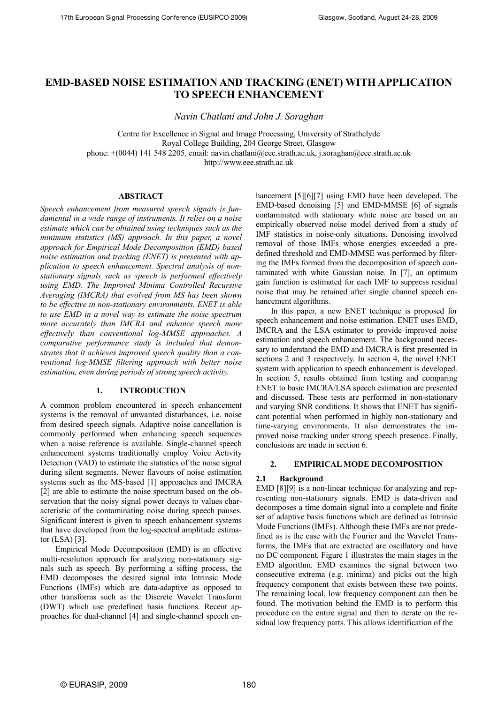# **EMD-BASED NOISE ESTIMATION AND TRACKING (ENET) WITH APPLICATION TO SPEECH ENHANCEMENT**

*avin Chatlani and John J. Soraghan* 

Centre for Excellence in Signal and Image Processing, University of Strathclyde Royal College Building, 204 George Street, Glasgow phone: +(0044) 141 548 2205, email: navin.chatlani@eee.strath.ac.uk, j.soraghan@eee.strath.ac.uk

http://www.eee.strath.ac.uk

# **ABSTRACT**

*Speech enhancement from measured speech signals is fundamental in a wide range of instruments. It relies on a noise estimate which can be obtained using techniques such as the minimum statistics (MS) approach. In this paper, a novel approach for Empirical Mode Decomposition (EMD) based noise estimation and tracking (ENET) is presented with application to speech enhancement. Spectral analysis of nonstationary signals such as speech is performed effectively using EMD. The Improved Minima Controlled Recursive Averaging (IMCRA) that evolved from MS has been shown*  to be effective in non-stationary environments. ENET is able *to use EMD in a novel way to estimate the noise spectrum more accurately than IMCRA and enhance speech more effectively than conventional log-MMSE approaches. A comparative performance study is included that demonstrates that it achieves improved speech quality than a conventional log-MMSE filtering approach with better noise estimation, even during periods of strong speech activity.* 

# 1. **INTRODUCTION**

A common problem encountered in speech enhancement systems is the removal of unwanted disturbances, i.e. noise from desired speech signals. Adaptive noise cancellation is commonly performed when enhancing speech sequences when a noise reference is available. Single-channel speech enhancement systems traditionally employ Voice Activity Detection (VAD) to estimate the statistics of the noise signal during silent segments. Newer flavours of noise estimation systems such as the MS-based [1] approaches and IMCRA [2] are able to estimate the noise spectrum based on the observation that the noisy signal power decays to values characteristic of the contaminating noise during speech pauses. Significant interest is given to speech enhancement systems that have developed from the log-spectral amplitude estimator (LSA) [3].

Empirical Mode Decomposition (EMD) is an effective multi-resolution approach for analyzing non-stationary signals such as speech. By performing a sifting process, the EMD decomposes the desired signal into Intrinsic Mode Functions (IMFs) which are data-adaptive as opposed to other transforms such as the Discrete Wavelet Transform (DWT) which use predefined basis functions. Recent approaches for dual-channel [4] and single-channel speech enhancement [5][6][7] using EMD have been developed. The EMD-based denoising [5] and EMD-MMSE [6] of signals contaminated with stationary white noise are based on an empirically observed noise model derived from a study of IMF statistics in noise-only situations. Denoising involved removal of those IMFs whose energies exceeded a predefined threshold and EMD-MMSE was performed by filtering the IMFs formed from the decomposition of speech contaminated with white Gaussian noise. In [7], an optimum gain function is estimated for each IMF to suppress residual noise that may be retained after single channel speech enhancement algorithms.

In this paper, a new ENET technique is proposed for speech enhancement and noise estimation. ENET uses EMD, IMCRA and the LSA estimator to provide improved noise estimation and speech enhancement. The background necessary to understand the EMD and IMCRA is first presented in sections 2 and 3 respectively. In section 4, the novel ENET system with application to speech enhancement is developed. In section 5, results obtained from testing and comparing ENET to basic IMCRA/LSA speech estimation are presented and discussed. These tests are performed in non-stationary and varying SNR conditions. It shows that ENET has significant potential when performed in highly non-stationary and time-varying environments. It also demonstrates the improved noise tracking under strong speech presence. Finally, conclusions are made in section 6.

#### **2. EMPIRICAL MODE DECOMPOSITION**

# **2.1 Background**

EMD [8][9] is a non-linear technique for analyzing and representing non-stationary signals. EMD is data-driven and decomposes a time domain signal into a complete and finite set of adaptive basis functions which are defined as Intrinsic Mode Functions (IMFs). Although these IMFs are not predefined as is the case with the Fourier and the Wavelet Transforms, the IMFs that are extracted are oscillatory and have no DC component. Figure 1 illustrates the main stages in the EMD algorithm. EMD examines the signal between two consecutive extrema (e.g. minima) and picks out the high frequency component that exists between these two points. The remaining local, low frequency component can then be found. The motivation behind the EMD is to perform this procedure on the entire signal and then to iterate on the residual low frequency parts. This allows identification of the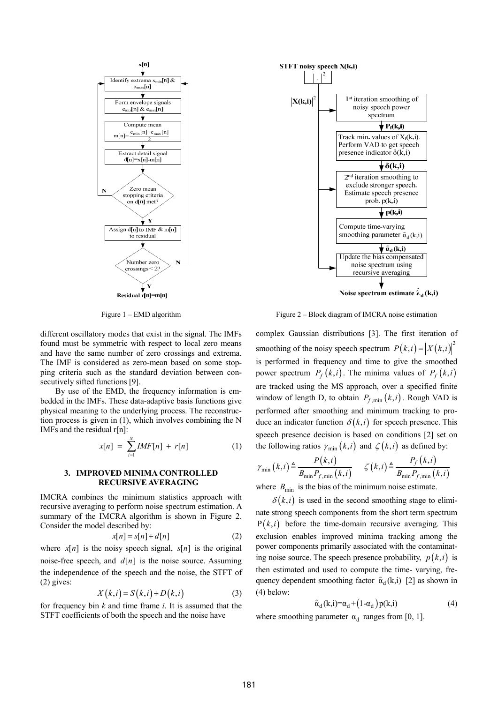

Figure 1 – EMD algorithm

different oscillatory modes that exist in the signal. The IMFs found must be symmetric with respect to local zero means and have the same number of zero crossings and extrema. The IMF is considered as zero-mean based on some stopping criteria such as the standard deviation between consecutively sifted functions [9].

By use of the EMD, the frequency information is embedded in the IMFs. These data-adaptive basis functions give physical meaning to the underlying process. The reconstruction process is given in (1), which involves combining the N IMFs and the residual r[n]:

$$
x[n] = \sum_{i=1}^{N} IMF[n] + r[n] \tag{1}
$$

#### **3. IMPROVED MINIMA CONTROLLED RECURSIVE AVERAGING**

IMCRA combines the minimum statistics approach with recursive averaging to perform noise spectrum estimation. A summary of the IMCRA algorithm is shown in Figure 2. Consider the model described by:

$$
x[n] = s[n] + d[n] \tag{2}
$$

where  $x[n]$  is the noisy speech signal,  $s[n]$  is the original noise-free speech, and  $d[n]$  is the noise source. Assuming the independence of the speech and the noise, the STFT of (2) gives:

$$
X(k,i) = S(k,i) + D(k,i)
$$
 (3)

for frequency bin *k* and time frame *i*. It is assumed that the STFT coefficients of both the speech and the noise have



Figure 2 – Block diagram of IMCRA noise estimation

complex Gaussian distributions [3]. The first iteration of smoothing of the noisy speech spectrum  $P(k, i) = |X(k, i)|^2$ is performed in frequency and time to give the smoothed power spectrum  $P_f(k,i)$ . The minima values of  $P_f(k,i)$ are tracked using the MS approach, over a specified finite window of length D, to obtain  $P_{f, \min}(k, i)$ . Rough VAD is performed after smoothing and minimum tracking to produce an indicator function  $\delta(k, i)$  for speech presence. This speech presence decision is based on conditions [2] set on the following ratios  $\gamma_{\min}(k, i)$  and  $\zeta(k, i)$  as defined by:

$$
\gamma_{\min}(k,i) \triangleq \frac{P(k,i)}{B_{\min}P_{f,\min}(k,i)} \quad \zeta(k,i) \triangleq \frac{P_f(k,i)}{B_{\min}P_{f,\min}(k,i)}
$$

where  $B_{\text{min}}$  is the bias of the minimum noise estimate.

 $\delta(k,i)$  is used in the second smoothing stage to eliminate strong speech components from the short term spectrum  $P(k, i)$  before the time-domain recursive averaging. This exclusion enables improved minima tracking among the power components primarily associated with the contaminating noise source. The speech presence probability,  $p(k, i)$  is then estimated and used to compute the time- varying, frequency dependent smoothing factor  $\tilde{\alpha}_d(k,i)$  [2] as shown in (4) below:

$$
\tilde{\alpha}_d(k,i) = \alpha_d + (1 - \alpha_d) p(k,i) \tag{4}
$$

where smoothing parameter  $\alpha_d$  ranges from [0, 1].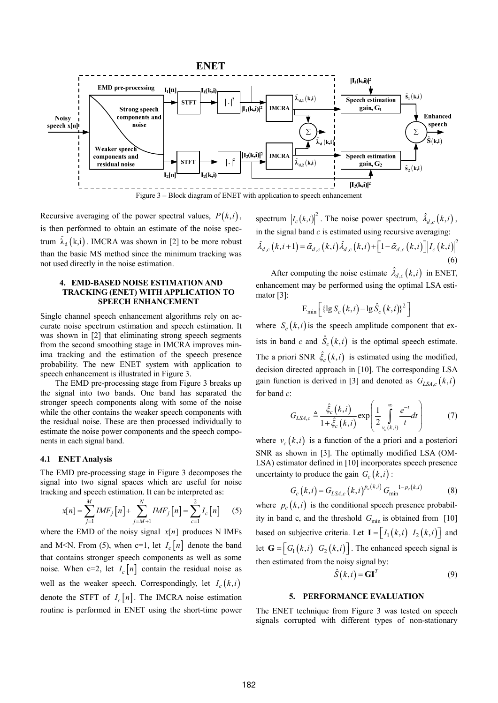

Recursive averaging of the power spectral values,  $P(k, i)$ , is then performed to obtain an estimate of the noise spectrum  $\hat{\lambda}_d$  (k,i). IMCRA was shown in [2] to be more robust than the basic MS method since the minimum tracking was not used directly in the noise estimation.

## **4. EMD-BASED NOISE ESTIMATION AND TRACKING (ENET) WITH APPLICATION TO SPEECH ENHANCEMENT**

Single channel speech enhancement algorithms rely on accurate noise spectrum estimation and speech estimation. It was shown in [2] that eliminating strong speech segments from the second smoothing stage in IMCRA improves minima tracking and the estimation of the speech presence probability. The new ENET system with application to speech enhancement is illustrated in Figure 3.

The EMD pre-processing stage from Figure 3 breaks up the signal into two bands. One band has separated the stronger speech components along with some of the noise while the other contains the weaker speech components with the residual noise. These are then processed individually to estimate the noise power components and the speech components in each signal band.

#### **4.1 E ET Analysis**

The EMD pre-processing stage in Figure 3 decomposes the signal into two signal spaces which are useful for noise tracking and speech estimation. It can be interpreted as:

$$
x[n] = \sum_{j=1}^{M} IMF_j[n] + \sum_{j=M+1}^{N} IMF_j[n] = \sum_{c=1}^{2} I_c[n] \qquad (5)
$$

where the EMD of the noisy signal  $x[n]$  produces N IMFs and M<N. From (5), when c=1, let  $I_c[n]$  denote the band that contains stronger speech components as well as some noise. When  $c=2$ , let  $I_c[n]$  contain the residual noise as well as the weaker speech. Correspondingly, let  $I_c(k,i)$ denote the STFT of  $I_c[n]$ . The IMCRA noise estimation routine is performed in ENET using the short-time power

spectrum  $\left| I_c(k,i) \right|^2$ . The noise power spectrum,  $\hat{\lambda}_{d,c}(k,i)$ , in the signal band *c* is estimated using recursive averaging:  $\hat{\lambda}_{d,c}(k,i+1) = \tilde{\alpha}_{d,c}(k,i) \hat{\lambda}_{d,c}(k,i) + \left[1 - \tilde{\alpha}_{d,c}(k,i)\right] |I_c(k,i)|^2$ (6)

After computing the noise estimate  $\hat{\lambda}_{d,c}(k,i)$  in ENET, enhancement may be performed using the optimal LSA estimator [3]:

$$
\mathrm{E}_{\mathrm{min}}\left[\left\{\lg S_c\left(k,i\right)-\lg \hat{S}_c\left(k,i\right)\right\}^2\right]
$$

where  $S_c(k,i)$  is the speech amplitude component that exists in band *c* and  $\hat{S}_c(k,i)$  is the optimal speech estimate. The a priori SNR  $\hat{\xi}_c(k,i)$  is estimated using the modified, decision directed approach in [10]. The corresponding LSA gain function is derived in [3] and denoted as  $G_{LSA,c}(k,i)$ for band *c*:

$$
G_{LSA,c} \triangleq \frac{\hat{\xi}_c(k,i)}{1 + \hat{\xi}_c(k,i)} \exp\left(\frac{1}{2} \int_{v_c(k,i)}^{\infty} \frac{e^{-t}}{t} dt\right) \tag{7}
$$

where  $v_c(k,i)$  is a function of the a priori and a posteriori SNR as shown in [3]. The optimally modified LSA (OM-LSA) estimator defined in [10] incorporates speech presence uncertainty to produce the gain  $G_c(k, i)$ :

$$
G_c(k,i) = G_{LSA,c}(k,i)^{p_c(k,i)} G_{\min}^{-1-p_c(k,i)}
$$
 (8)

where  $p_c(k,i)$  is the conditional speech presence probability in band c, and the threshold  $G_{\text{min}}$  is obtained from [10] based on subjective criteria. Let  $I = \begin{bmatrix} I_1(k,i) & I_2(k,i) \end{bmatrix}$  and let  $\mathbf{G} = \begin{bmatrix} G_1(k,i) & G_2(k,i) \end{bmatrix}$ . The enhanced speech signal is then estimated from the noisy signal by:

$$
\hat{S}(k,i) = \mathbf{GI}^T
$$
 (9)

#### **5. PERFORMANCE EVALUATION**

The ENET technique from Figure 3 was tested on speech signals corrupted with different types of non-stationary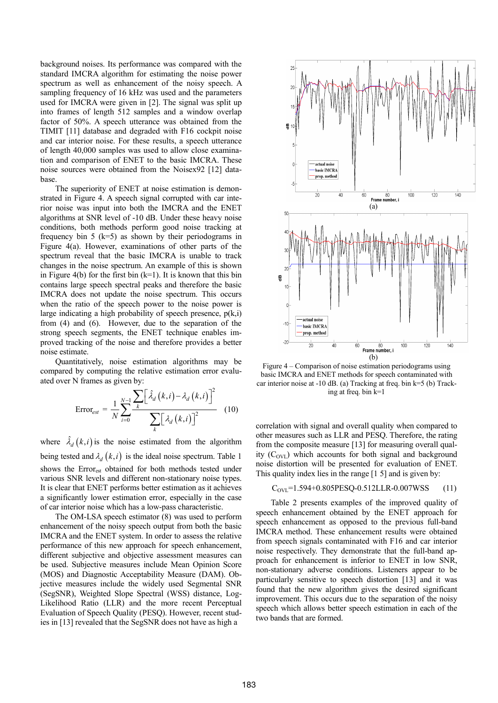background noises. Its performance was compared with the standard IMCRA algorithm for estimating the noise power spectrum as well as enhancement of the noisy speech. A sampling frequency of 16 kHz was used and the parameters used for IMCRA were given in [2]. The signal was split up into frames of length 512 samples and a window overlap factor of 50%. A speech utterance was obtained from the TIMIT [11] database and degraded with F16 cockpit noise and car interior noise. For these results, a speech utterance of length 40,000 samples was used to allow close examination and comparison of ENET to the basic IMCRA. These noise sources were obtained from the Noisex92 [12] database.

The superiority of ENET at noise estimation is demonstrated in Figure 4. A speech signal corrupted with car interior noise was input into both the IMCRA and the ENET algorithms at SNR level of -10 dB. Under these heavy noise conditions, both methods perform good noise tracking at frequency bin 5 ( $k=5$ ) as shown by their periodograms in Figure 4(a). However, examinations of other parts of the spectrum reveal that the basic IMCRA is unable to track changes in the noise spectrum. An example of this is shown in Figure 4(b) for the first bin  $(k=1)$ . It is known that this bin contains large speech spectral peaks and therefore the basic IMCRA does not update the noise spectrum. This occurs when the ratio of the speech power to the noise power is large indicating a high probability of speech presence,  $p(k,i)$ from (4) and (6). However, due to the separation of the strong speech segments, the ENET technique enables improved tracking of the noise and therefore provides a better noise estimate.

Quantitatively, noise estimation algorithms may be compared by computing the relative estimation error evaluated over N frames as given by:

$$
Error_{est} = \frac{1}{N} \sum_{i=0}^{N-1} \frac{\sum_{k} \left[ \hat{\lambda}_{d} \left( k, i \right) - \lambda_{d} \left( k, i \right) \right]^{2}}{\sum_{k} \left[ \lambda_{d} \left( k, i \right) \right]^{2}} \quad (10)
$$

where  $\hat{\lambda}_d (k, i)$  is the noise estimated from the algorithm being tested and  $\lambda_d$  (*k,i*) is the ideal noise spectrum. Table 1 shows the Error<sub>est</sub> obtained for both methods tested under various SNR levels and different non-stationary noise types. It is clear that ENET performs better estimation as it achieves a significantly lower estimation error, especially in the case of car interior noise which has a low-pass characteristic.

The OM-LSA speech estimator (8) was used to perform enhancement of the noisy speech output from both the basic IMCRA and the ENET system. In order to assess the relative performance of this new approach for speech enhancement, different subjective and objective assessment measures can be used. Subjective measures include Mean Opinion Score (MOS) and Diagnostic Acceptability Measure (DAM). Objective measures include the widely used Segmental SNR (SegSNR), Weighted Slope Spectral (WSS) distance, Log-Likelihood Ratio (LLR) and the more recent Perceptual Evaluation of Speech Quality (PESQ). However, recent studies in [13] revealed that the SegSNR does not have as high a



Figure 4 – Comparison of noise estimation periodograms using basic IMCRA and ENET methods for speech contaminated with car interior noise at -10 dB. (a) Tracking at freq. bin k=5 (b) Tracking at freq. bin k=1

correlation with signal and overall quality when compared to other measures such as LLR and PESQ. Therefore, the rating from the composite measure [13] for measuring overall quality  $(C_{\text{OVI}})$  which accounts for both signal and background noise distortion will be presented for evaluation of ENET. This quality index lies in the range [1 5] and is given by:

$$
C_{\text{OVL}} = 1.594 + 0.805 \text{PESQ} - 0.512 \text{LLR} - 0.007 \text{WSS} \tag{11}
$$

Table 2 presents examples of the improved quality of speech enhancement obtained by the ENET approach for speech enhancement as opposed to the previous full-band IMCRA method. These enhancement results were obtained from speech signals contaminated with F16 and car interior noise respectively. They demonstrate that the full-band approach for enhancement is inferior to ENET in low SNR, non-stationary adverse conditions. Listeners appear to be particularly sensitive to speech distortion [13] and it was found that the new algorithm gives the desired significant improvement. This occurs due to the separation of the noisy speech which allows better speech estimation in each of the two bands that are formed.